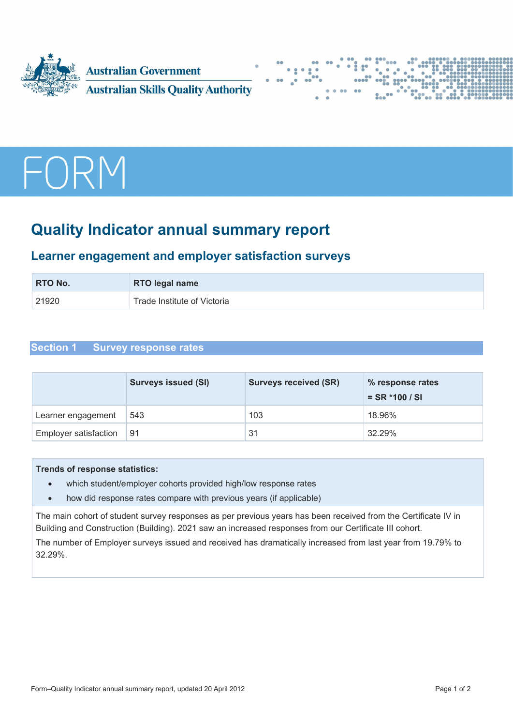





# **Quality Indicator annual summary report**

# **Learner engagement and employer satisfaction surveys**

| <b>RTO No.</b> | <b>RTO legal name</b>       |
|----------------|-----------------------------|
| 21920          | Trade Institute of Victoria |

# **Section 1 Survey response rates**

|                              | <b>Surveys issued (SI)</b> | <b>Surveys received (SR)</b> | % response rates<br>$=$ SR $*$ 100 / SI |
|------------------------------|----------------------------|------------------------------|-----------------------------------------|
| Learner engagement           | 543                        | 103                          | 18.96%                                  |
| <b>Employer satisfaction</b> | 91                         | 31                           | 32.29%                                  |

### **Trends of response statistics:**

- which student/employer cohorts provided high/low response rates
- how did response rates compare with previous years (if applicable)

The main cohort of student survey responses as per previous years has been received from the Certificate IV in Building and Construction (Building). 2021 saw an increased responses from our Certificate III cohort.

The number of Employer surveys issued and received has dramatically increased from last year from 19.79% to 32.29%.